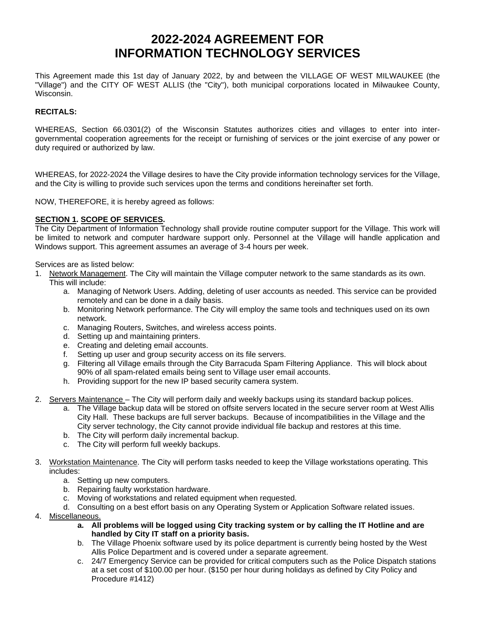# **2022-2024 AGREEMENT FOR INFORMATION TECHNOLOGY SERVICES**

This Agreement made this 1st day of January 2022, by and between the VILLAGE OF WEST MILWAUKEE (the "Village") and the CITY OF WEST ALLIS (the "City"), both municipal corporations located in Milwaukee County, Wisconsin.

# **RECITALS:**

WHEREAS, Section 66.0301(2) of the Wisconsin Statutes authorizes cities and villages to enter into intergovernmental cooperation agreements for the receipt or furnishing of services or the joint exercise of any power or duty required or authorized by law.

WHEREAS, for 2022-2024 the Village desires to have the City provide information technology services for the Village, and the City is willing to provide such services upon the terms and conditions hereinafter set forth.

NOW, THEREFORE, it is hereby agreed as follows:

# **SECTION 1. SCOPE OF SERVICES.**

The City Department of Information Technology shall provide routine computer support for the Village. This work will be limited to network and computer hardware support only. Personnel at the Village will handle application and Windows support. This agreement assumes an average of 3-4 hours per week.

Services are as listed below:

- 1. Network Management. The City will maintain the Village computer network to the same standards as its own. This will include:
	- a. Managing of Network Users. Adding, deleting of user accounts as needed. This service can be provided remotely and can be done in a daily basis.
	- b. Monitoring Network performance. The City will employ the same tools and techniques used on its own network.
	- c. Managing Routers, Switches, and wireless access points.
	- d. Setting up and maintaining printers.
	- e. Creating and deleting email accounts.
	- f. Setting up user and group security access on its file servers.
	- g. Filtering all Village emails through the City Barracuda Spam Filtering Appliance. This will block about 90% of all spam-related emails being sent to Village user email accounts.
	- h. Providing support for the new IP based security camera system.
- 2. Servers Maintenance The City will perform daily and weekly backups using its standard backup polices.
	- a. The Village backup data will be stored on offsite servers located in the secure server room at West Allis City Hall. These backups are full server backups. Because of incompatibilities in the Village and the City server technology, the City cannot provide individual file backup and restores at this time.
	- b. The City will perform daily incremental backup.
	- c. The City will perform full weekly backups.
- 3. Workstation Maintenance. The City will perform tasks needed to keep the Village workstations operating. This includes:
	- a. Setting up new computers.
	- b. Repairing faulty workstation hardware.
	- c. Moving of workstations and related equipment when requested.
	- d. Consulting on a best effort basis on any Operating System or Application Software related issues.
- 4. Miscellaneous.
	- **a. All problems will be logged using City tracking system or by calling the IT Hotline and are handled by City IT staff on a priority basis.**
	- b. The Village Phoenix software used by its police department is currently being hosted by the West Allis Police Department and is covered under a separate agreement.
	- c. 24/7 Emergency Service can be provided for critical computers such as the Police Dispatch stations at a set cost of \$100.00 per hour. (\$150 per hour during holidays as defined by City Policy and Procedure #1412)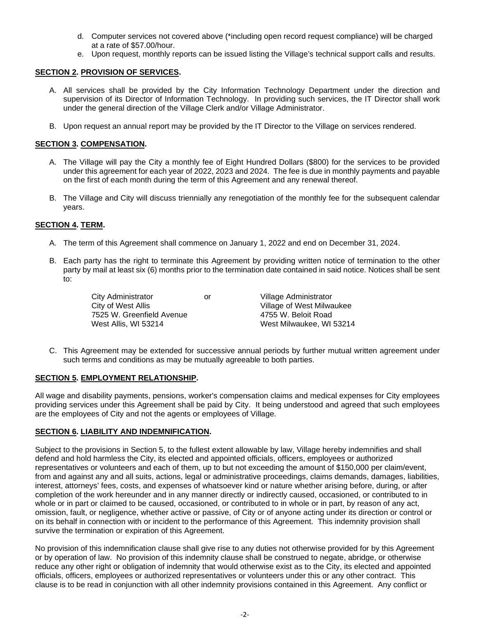- d. Computer services not covered above (\*including open record request compliance) will be charged at a rate of \$57.00/hour.
- e. Upon request, monthly reports can be issued listing the Village's technical support calls and results.

## **SECTION 2. PROVISION OF SERVICES.**

- A. All services shall be provided by the City Information Technology Department under the direction and supervision of its Director of Information Technology. In providing such services, the IT Director shall work under the general direction of the Village Clerk and/or Village Administrator.
- B. Upon request an annual report may be provided by the IT Director to the Village on services rendered.

# **SECTION 3. COMPENSATION.**

- A. The Village will pay the City a monthly fee of Eight Hundred Dollars (\$800) for the services to be provided under this agreement for each year of 2022, 2023 and 2024. The fee is due in monthly payments and payable on the first of each month during the term of this Agreement and any renewal thereof.
- B. The Village and City will discuss triennially any renegotiation of the monthly fee for the subsequent calendar years.

# **SECTION 4. TERM.**

- A. The term of this Agreement shall commence on January 1, 2022 and end on December 31, 2024.
- B. Each party has the right to terminate this Agreement by providing written notice of termination to the other party by mail at least six (6) months prior to the termination date contained in said notice. Notices shall be sent to:

City Administrator **City Administrator** or Village Administrator<br>City of West Allis **City Administrator** Village of West Milwa 7525 W. Greenfield Avenue 4755 W. Beloit Road West Allis, WI 53214 West Milwaukee, WI 53214

Village of West Milwaukee

C. This Agreement may be extended for successive annual periods by further mutual written agreement under such terms and conditions as may be mutually agreeable to both parties.

# **SECTION 5. EMPLOYMENT RELATIONSHIP.**

All wage and disability payments, pensions, worker's compensation claims and medical expenses for City employees providing services under this Agreement shall be paid by City. It being understood and agreed that such employees are the employees of City and not the agents or employees of Village.

# **SECTION 6. LIABILITY AND INDEMNIFICATION.**

Subject to the provisions in Section 5, to the fullest extent allowable by law, Village hereby indemnifies and shall defend and hold harmless the City, its elected and appointed officials, officers, employees or authorized representatives or volunteers and each of them, up to but not exceeding the amount of \$150,000 per claim/event, from and against any and all suits, actions, legal or administrative proceedings, claims demands, damages, liabilities, interest, attorneys' fees, costs, and expenses of whatsoever kind or nature whether arising before, during, or after completion of the work hereunder and in any manner directly or indirectly caused, occasioned, or contributed to in whole or in part or claimed to be caused, occasioned, or contributed to in whole or in part, by reason of any act, omission, fault, or negligence, whether active or passive, of City or of anyone acting under its direction or control or on its behalf in connection with or incident to the performance of this Agreement. This indemnity provision shall survive the termination or expiration of this Agreement.

No provision of this indemnification clause shall give rise to any duties not otherwise provided for by this Agreement or by operation of law. No provision of this indemnity clause shall be construed to negate, abridge, or otherwise reduce any other right or obligation of indemnity that would otherwise exist as to the City, its elected and appointed officials, officers, employees or authorized representatives or volunteers under this or any other contract. This clause is to be read in conjunction with all other indemnity provisions contained in this Agreement. Any conflict or